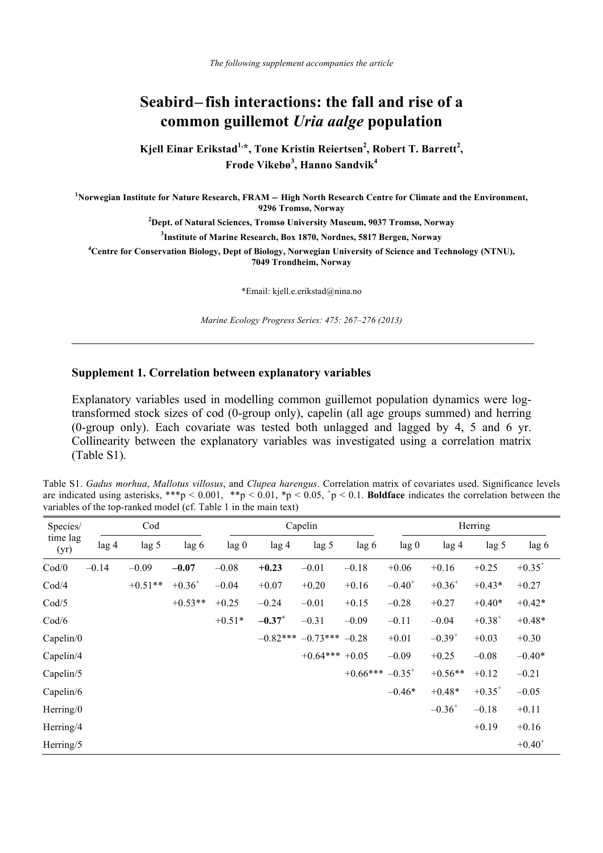## **Seabird**−**fish interactions: the fall and rise of a common guillemot** *Uria aalge* **population**

Kjell Einar Erikstad<sup>1,\*</sup>, Tone Kristin Reiertsen<sup>2</sup>, Robert T. Barrett<sup>2</sup>, **Frode Vikebø<sup>3</sup> , Hanno Sandvik<sup>4</sup>**

**1 Norwegian Institute for Nature Research, FRAM** − **High North Research Centre for Climate and the Environment, 9296 Tromsø, Norway** 

**2 Dept. of Natural Sciences, Tromsø University Museum, 9037 Tromsø, Norway** 

**3 Institute of Marine Research, Box 1870, Nordnes, 5817 Bergen, Norway** 

**4 Centre for Conservation Biology, Dept of Biology, Norwegian University of Science and Technology (NTNU), 7049 Trondheim, Norway** 

\*Email: kjell.e.erikstad@nina.no

*Marine Ecology Progress Series: 475: 267–276 (2013)* 

## **Supplement 1. Correlation between explanatory variables**

Explanatory variables used in modelling common guillemot population dynamics were logtransformed stock sizes of cod (0-group only), capelin (all age groups summed) and herring (0-group only). Each covariate was tested both unlagged and lagged by 4, 5 and 6 yr. Collinearity between the explanatory variables was investigated using a correlation matrix (Table S1).

Table S1. *Gadus morhua*, *Mallotus villosus*, and *Clupea harengus*. Correlation matrix of covariates used. Significance levels are indicated using asterisks, \*\*\*p < 0.001, \*\*p < 0.01, \*p < 0.05,  $p$  < 0.1. **Boldface** indicates the correlation between the variables of the top-ranked model (cf. Table 1 in the main text)

| Species/         | Cod     |                  |             | Capelin  |                      |                 |            | Herring          |             |             |             |
|------------------|---------|------------------|-------------|----------|----------------------|-----------------|------------|------------------|-------------|-------------|-------------|
| time lag<br>(yr) | lag 4   | lag <sub>5</sub> | lag 6       | lag 0    | lag <sub>4</sub>     | lag 5           | lag 6      | lag <sub>0</sub> | $\log 4$    | lag 5       | lag 6       |
| Cod/0            | $-0.14$ | $-0.09$          | $-0.07$     | $-0.08$  | $+0.23$              | $-0.01$         | $-0.18$    | $+0.06$          | $+0.16$     | $+0.25$     | $+0.35^{+}$ |
| Cod/4            |         | $+0.51**$        | $+0.36^{+}$ | $-0.04$  | $+0.07$              | $+0.20$         | $+0.16$    | $-0.40^+$        | $+0.36^{+}$ | $+0.43*$    | $+0.27$     |
| Cod/5            |         |                  | $+0.53**$   | $+0.25$  | $-0.24$              | $-0.01$         | $+0.15$    | $-0.28$          | $+0.27$     | $+0.40*$    | $+0.42*$    |
| Cod/6            |         |                  |             | $+0.51*$ | $-0.37$ <sup>+</sup> | $-0.31$         | $-0.09$    | $-0.11$          | $-0.04$     | $+0.38^{+}$ | $+0.48*$    |
| Capelin/0        |         |                  |             |          | $-0.82***$           | $-0.73***$      | $-0.28$    | $+0.01$          | $-0.39^{+}$ | $+0.03$     | $+0.30$     |
| Capelin/4        |         |                  |             |          |                      | $+0.64***+0.05$ |            | $-0.09$          | $+0.25$     | $-0.08$     | $-0.40*$    |
| Capelin/5        |         |                  |             |          |                      |                 | $+0.66***$ | $-0.35^{+}$      | $+0.56**$   | $+0.12$     | $-0.21$     |
| Capelin/6        |         |                  |             |          |                      |                 |            | $-0.46*$         | $+0.48*$    | $+0.35^{+}$ | $-0.05$     |
| Herring/0        |         |                  |             |          |                      |                 |            |                  | $-0.36^{+}$ | $-0.18$     | $+0.11$     |
| Herring/4        |         |                  |             |          |                      |                 |            |                  |             | $+0.19$     | $+0.16$     |
| Herring/5        |         |                  |             |          |                      |                 |            |                  |             |             | $+0.40^{+}$ |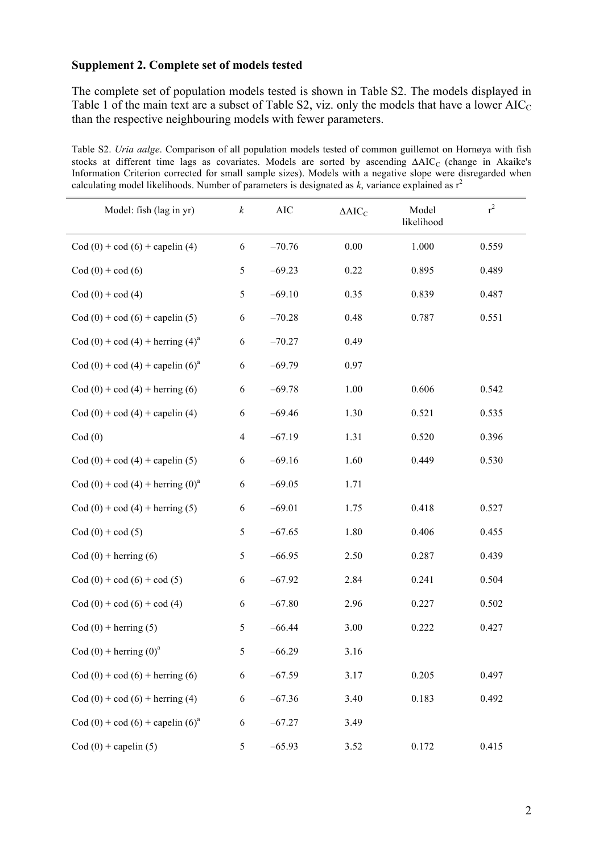## **Supplement 2. Complete set of models tested**

The complete set of population models tested is shown in Table S2. The models displayed in Table 1 of the main text are a subset of Table S2, viz. only the models that have a lower  $AIC_C$ than the respective neighbouring models with fewer parameters.

Table S2. *Uria aalge*. Comparison of all population models tested of common guillemot on Hornøya with fish stocks at different time lags as covariates. Models are sorted by ascending ΔAIC<sub>C</sub> (change in Akaike's Information Criterion corrected for small sample sizes). Models with a negative slope were disregarded when calculating model likelihoods. Number of parameters is designated as  $k$ , variance explained as  $r^2$ 

| Model: fish (lag in yr)                             | $\boldsymbol{k}$ | <b>AIC</b> | $\Delta AIC_C$ | Model<br>likelihood | $r^2$ |
|-----------------------------------------------------|------------------|------------|----------------|---------------------|-------|
| $\text{Cod}(0) + \text{cod}(6) + \text{capelin}(4)$ | 6                | $-70.76$   | 0.00           | 1.000               | 0.559 |
| $Cod(0) + cod(6)$                                   | 5                | $-69.23$   | 0.22           | 0.895               | 0.489 |
| $Cod(0) + cod(4)$                                   | $\sqrt{5}$       | $-69.10$   | 0.35           | 0.839               | 0.487 |
| $\text{Cod}(0) + \text{cod}(6) + \text{capelin}(5)$ | 6                | $-70.28$   | 0.48           | 0.787               | 0.551 |
| Cod (0) + cod (4) + herring (4) <sup>a</sup>        | 6                | $-70.27$   | 0.49           |                     |       |
| Cod (0) + cod (4) + capelin (6) <sup>a</sup>        | 6                | $-69.79$   | 0.97           |                     |       |
| $\text{Cod}(0) + \text{cod}(4) + \text{herring}(6)$ | 6                | $-69.78$   | 1.00           | 0.606               | 0.542 |
| $\text{Cod}(0) + \text{cod}(4) + \text{capelin}(4)$ | 6                | $-69.46$   | 1.30           | 0.521               | 0.535 |
| Cod(0)                                              | $\overline{4}$   | $-67.19$   | 1.31           | 0.520               | 0.396 |
| $\text{Cod}(0) + \text{cod}(4) + \text{capelin}(5)$ | 6                | $-69.16$   | 1.60           | 0.449               | 0.530 |
| Cod (0) + cod (4) + herring (0) <sup>a</sup>        | 6                | $-69.05$   | 1.71           |                     |       |
| $\text{Cod}(0) + \text{cod}(4) + \text{herring}(5)$ | 6                | $-69.01$   | 1.75           | 0.418               | 0.527 |
| $Cod(0) + cod(5)$                                   | 5                | $-67.65$   | 1.80           | 0.406               | 0.455 |
| $\text{Cod}(0)$ + herring (6)                       | $\sqrt{5}$       | $-66.95$   | 2.50           | 0.287               | 0.439 |
| $\text{Cod}(0) + \text{cod}(6) + \text{cod}(5)$     | 6                | $-67.92$   | 2.84           | 0.241               | 0.504 |
| $\text{Cod}(0) + \text{cod}(6) + \text{cod}(4)$     | 6                | $-67.80$   | 2.96           | 0.227               | 0.502 |
| $\text{Cod}(0)$ + herring (5)                       | 5                | $-66.44$   | 3.00           | 0.222               | 0.427 |
| Cod $(0)$ + herring $(0)^a$                         | 5                | $-66.29$   | 3.16           |                     |       |
| $\text{Cod}(0) + \text{cod}(6) + \text{herring}(6)$ | 6                | $-67.59$   | 3.17           | 0.205               | 0.497 |
| $\text{Cod}(0) + \text{cod}(6) + \text{herring}(4)$ | 6                | $-67.36$   | 3.40           | 0.183               | 0.492 |
| Cod (0) + cod (6) + capelin (6) <sup>a</sup>        | 6                | $-67.27$   | 3.49           |                     |       |
| $\text{Cod}(0)$ + capelin (5)                       | 5                | $-65.93$   | 3.52           | 0.172               | 0.415 |